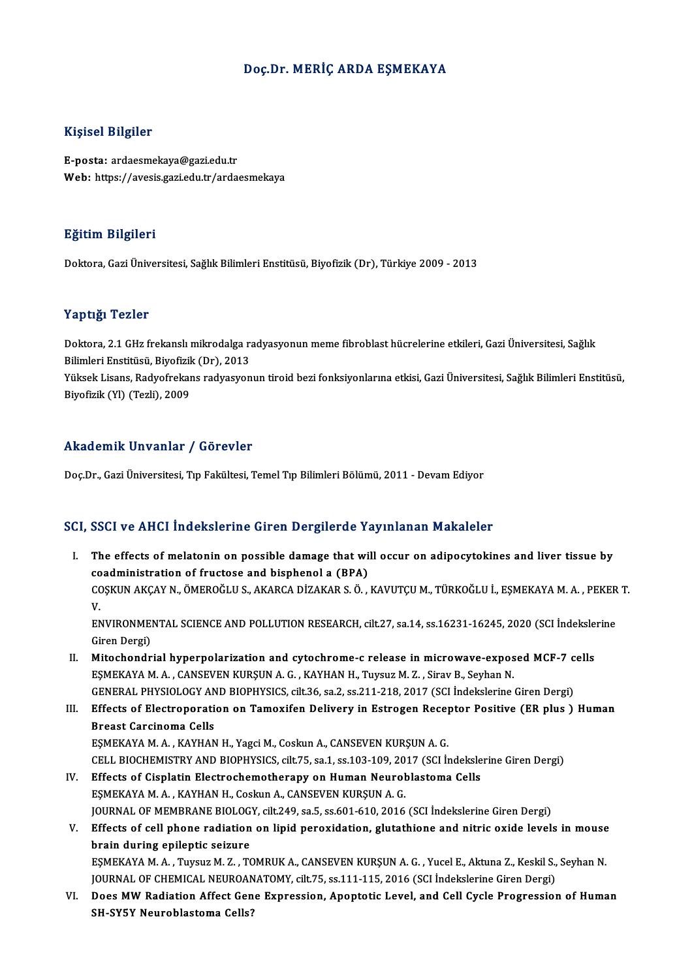## Doç.Dr.MERİÇ ARDA EŞMEKAYA

## Kişisel Bilgiler

E-posta: ardaesmekaya@gazi.edu.tr Web: https://avesis.gazi.edu.tr/ardaesmekaya

## Eğitim Bilgileri

Doktora,GaziÜniversitesi,SağlıkBilimleriEnstitüsü,Biyofizik(Dr),Türkiye 2009 -2013

### Yaptığı Tezler

Yaptığı Tezler<br>Doktora, 2.1 GHz frekanslı mikrodalga radyasyonun meme fibroblast hücrelerine etkileri, Gazi Üniversitesi, Sağlık<br>Bilimleri Enstitüsü, Bivofirik (Dr), 2012 1 apesar 1 02101<br>Doktora, 2.1 GHz frekanslı mikrodalga ra<br>Bilimleri Enstitüsü, Biyofizik (Dr), 2013<br>Vültael: Lisans, Badyafrekans radyasyon Doktora, 2.1 GHz frekanslı mikrodalga radyasyonun meme fibroblast hücrelerine etkileri, Gazi Üniversitesi, Sağlık<br>Bilimleri Enstitüsü, Biyofizik (Dr), 2013<br>Yüksek Lisans, Radyofrekans radyasyonun tiroid bezi fonksiyonların

Bilimleri Enstitüsü, Biyofizik (Dr), 2013<br>Yüksek Lisans, Radyofrekans radyasyonun tiroid bezi fonksiyonlarına etkisi, Gazi Üniversitesi, Sağlık Bilimleri Enstitüsü,<br>Biyofizik (Yl) (Tezli), 2009

# Akademik Unvanlar / Görevler

Doç.Dr., Gazi Üniversitesi, Tıp Fakültesi, Temel Tıp Bilimleri Bölümü, 2011 - Devam Ediyor

## SCI, SSCI ve AHCI İndekslerine Giren Dergilerde Yayınlanan Makaleler

- CI, SSCI ve AHCI İndekslerine Giren Dergilerde Yayınlanan Makaleler<br>I. The effects of melatonin on possible damage that will occur on adipocytokines and liver tissue by<br>coodministration of fructose and bisphonel a (PBA) Coal volting indensitying an on bei gitting to<br>The effects of melatonin on possible damage that wi<br>COSVIN AVCAV N. ÖMEROČLUS, AVARCA DIZAVAR S. Ö. The effects of melatonin on possible damage that will occur on adipocytokines and liver tissue by<br>coadministration of fructose and bisphenol a (BPA)<br>COŞKUN AKÇAY N., ÖMEROĞLU S., AKARCA DİZAKAR S. Ö. , KAVUTÇU M., TÜRKOĞLU CO<br>CC<br>EA COȘKUN AKÇAY N., ÖMEROĞLU S., AKARCA DİZAKAR S. Ö. , KAVUTÇU M., TÜRKOĞLU İ., EŞMEKAYA M. A. , PEKER<br>V.<br>ENVIRONMENTAL SCIENCE AND POLLUTION RESEARCH, cilt.27, sa.14, ss.16231-16245, 2020 (SCI İndekslerine<br>Ciron Dergi) V.<br>ENVIRONMEI<br>Giren Dergi)<br>Mitosbondr ENVIRONMENTAL SCIENCE AND POLLUTION RESEARCH, cilt.27, sa.14, ss.16231-16245, 2020 (SCI indeksle<br>Giren Dergi)<br>II. Mitochondrial hyperpolarization and cytochrome-c release in microwave-exposed MCF-7 cells<br>ESMEKAVA M.A. CANE Giren Dergi)<br>II. Mitochondrial hyperpolarization and cytochrome-c release in microwave-exposed MCF-7 cells<br>EŞMEKAYA M.A., CANSEVEN KURŞUN A.G., KAYHAN H., Tuysuz M. Z., Sirav B., Seyhan N. Mitochondrial hyperpolarization and cytochrome-c release in microwave-exposed MCF-7 c<br>ESMEKAYA M. A. , CANSEVEN KURSUN A. G. , KAYHAN H., Tuysuz M. Z. , Sirav B., Seyhan N.<br>GENERAL PHYSIOLOGY AND BIOPHYSICS, cilt.36, sa.2, III. Effects of Electroporation on Tamoxifen Delivery in Estrogen Receptor Positive (ER plus ) Human<br>Breast Carcinoma Cells **GENERAL PHYSIOLOGY AN<br>Effects of Electroporati**<br>Breast Carcinoma Cells<br>ESMEKAYA M A - KAYHAN Effects of Electroporation on Tamoxifen Delivery in Estrogen Recep<br>Breast Carcinoma Cells<br>EŞMEKAYA M.A., KAYHAN H., Yagci M., Coskun A., CANSEVEN KURŞUN A.G.<br>CELL RIQCHEMISTRY AND RIQRHYSICS cilt 75 se 1 ss 103 109 2017 (S Breast Carcinoma Cells<br>EŞMEKAYA M. A. , KAYHAN H., Yagci M., Coskun A., CANSEVEN KURŞUN A. G.<br>CELL BIOCHEMISTRY AND BIOPHYSICS, cilt.75, sa.1, ss.103-109, 2017 (SCI İndekslerine Giren Dergi)<br>Effects of Cisplatin Electroche EŞMEKAYA M. A., KAYHAN H., Yagci M., Coskun A., CANSEVEN KURŞUN A. G.<br>CELL BIOCHEMISTRY AND BIOPHYSICS, cilt.75, sa.1, ss.103-109, 2017 (SCI İndeksle<br>IV. Effects of Cisplatin Electrochemotherapy on Human Neuroblastoma Cell
- CELL BIOCHEMISTRY AND BIOPHYSICS, cilt.75, sa.1, ss.103-109, 2017 (SCI Indekslerine Giren Dergi)<br>IV. Effects of Cisplatin Electrochemotherapy on Human Neuroblastoma Cells<br>EŞMEKAYA M. A. , KAYHAN H., Coskun A., CANSEVEN KUR JOURNAL OF MEMBRANE BIOLOGY, cilt.249, sa.5, ss.601-610, 2016 (SCI İndekslerine Giren Dergi) EŞMEKAYA M. A. , KAYHAN H., Coskun A., CANSEVEN KURŞUN A. G.<br>JOURNAL OF MEMBRANE BIOLOGY, cilt.249, sa.5, ss.601-610, 2016 (SCI İndekslerine Giren Dergi)<br>V. Effects of cell phone radiation on lipid peroxidation, glutathion
- brain during epileptic seizure Effects of cell phone radiation on lipid peroxidation, glutathione and nitric oxide levels in mouse<br>brain during epileptic seizure<br>EŞMEKAYA M.A., Tuysuz M. Z., TOMRUK A., CANSEVEN KURŞUN A. G., Yucel E., Aktuna Z., Keskil EŞMEKAYA M. A. , Tuysuz M. Z. , TOMRUK A., CANSEVEN KURŞUN A. G. , Yucel E., Aktuna Z., Keskil S., Seyhan N.<br>JOURNAL OF CHEMICAL NEUROANATOMY, cilt.75, ss.111-115, 2016 (SCI İndekslerine Giren Dergi)
- EŞMEKAYA M. A. , Tuysuz M. Z. , TOMRUK A., CANSEVEN KURŞUN A. G. , Yucel E., Aktuna Z., Keskil S., Seyhan N.<br>JOURNAL OF CHEMICAL NEUROANATOMY, cilt.75, ss.111-115, 2016 (SCI İndekslerine Giren Dergi)<br>VI. Does MW Radiation JOURNAL OF CHEMICAL NEUROAN<br>Does MW Radiation Affect Gen<br>SH-SY5Y Neuroblastoma Cells?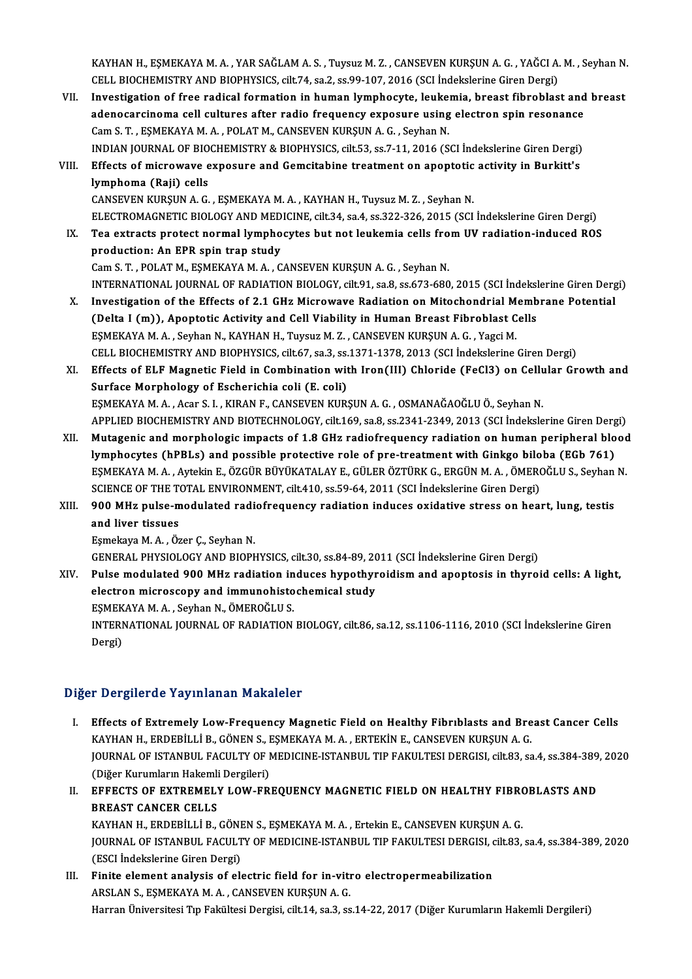KAYHAN H., EŞMEKAYA M. A. , YAR SAĞLAM A. S. , Tuysuz M. Z. , CANSEVEN KURŞUN A. G. , YAĞCI A. M. , Seyhan N.<br>CELL RIQCHEMISTRY AND RIQRHYSICS. 615.74, 82.2, 83.99.107, 2016 (SCI İndekslorine Ciren Dergi) KAYHAN H., EŞMEKAYA M. A. , YAR SAĞLAM A. S. , Tuysuz M. Z. , CANSEVEN KURŞUN A. G. , YAĞCI A.<br>CELL BIOCHEMISTRY AND BIOPHYSICS, cilt.74, sa.2, ss.99-107, 2016 (SCI İndekslerine Giren Dergi)<br>Investisation of free radicel f KAYHAN H., EŞMEKAYA M. A., YAR SAĞLAM A. S., Tuysuz M. Z., CANSEVEN KURŞUN A. G., YAĞCI A. M., Seyhan N<br>CELL BIOCHEMISTRY AND BIOPHYSICS, cilt.74, sa.2, ss.99-107, 2016 (SCI İndekslerine Giren Dergi)<br>VII. Investigation of

CELL BIOCHEMISTRY AND BIOPHYSICS, cilt.74, sa.2, ss.99-107, 2016 (SCI İndekslerine Giren Dergi)<br>Investigation of free radical formation in human lymphocyte, leukemia, breast fibroblast and<br>adenocarcinoma cell cultures afte Investigation of free radical formation in human lymphocyte, leuke:<br>adenocarcinoma cell cultures after radio frequency exposure using<br>Cam S. T. , EŞMEKAYA M. A. , POLAT M., CANSEVEN KURŞUN A. G. , Seyhan N.<br>INDIAN IOUPNAL adenocarcinoma cell cultures after radio frequency exposure using electron spin resonance<br>Cam S. T. , EŞMEKAYA M. A. , POLAT M., CANSEVEN KURŞUN A. G. , Seyhan N.<br>INDIAN JOURNAL OF BIOCHEMISTRY & BIOPHYSICS, cilt.53, ss.7-Cam S. T., ESMEKAYA M. A., POLAT M., CANSEVEN KURSUN A. G., Seyhan N.<br>INDIAN JOURNAL OF BIOCHEMISTRY & BIOPHYSICS, cilt.53, ss.7-11, 2016 (SCI İndekslerine Giren Dergi)<br>VIII. Effects of microwave exposure and Gemcitabine t

# INDIAN JOURNAL OF BIO<br>Effects of microwave e<br>lymphoma (Raji) cells<br>CANSEVEN KURSUM A C Effects of microwave exposure and Gemcitabine treatment on apoptotic<br>lymphoma (Raji) cells<br>CANSEVEN KURŞUN A.G., EŞMEKAYA M.A., KAYHAN H., Tuysuz M. Z., Seyhan N.<br>ELECTROMACNETIC RIOLOCY AND MEDICINE silt 24, sa 4, sa 222,

lymphoma (Raji) cells<br>CANSEVEN KURŞUN A. G. , EŞMEKAYA M. A. , KAYHAN H., Tuysuz M. Z. , Seyhan N.<br>ELECTROMAGNETIC BIOLOGY AND MEDICINE, cilt.34, sa.4, ss.322-326, 2015 (SCI İndekslerine Giren Dergi)<br>Tea extrests pretest p CANSEVEN KURŞUN A. G., EŞMEKAYA M. A., KAYHAN H., Tuysuz M. Z., Seyhan N.<br>ELECTROMAGNETIC BIOLOGY AND MEDICINE, cilt.34, sa.4, ss.322-326, 2015 (SCI İndekslerine Giren Dergi)<br>IX. Tea extracts protect normal lymphocytes but

- ELECTROMAGNETIC BIOLOGY AND MED<br>Tea extracts protect normal lympho<br>production: An EPR spin trap study<br>Cam S T POLATM ESMEVAVA M A C Tea extracts protect normal lymphocytes but not leukemia cells from UV radiation-induced ROS<br>production: An EPR spin trap study<br>Cam S. T. , POLAT M., EŞMEKAYA M. A. , CANSEVEN KURŞUN A. G. , Seyhan N. production: An EPR spin trap study<br>Cam S. T. , POLAT M., EŞMEKAYA M. A. , CANSEVEN KURŞUN A. G. , Seyhan N.<br>INTERNATIONAL JOURNAL OF RADIATION BIOLOGY, cilt.91, sa.8, ss.673-680, 2015 (SCI İndekslerine Giren Dergi)<br>Investi Cam S. T., POLAT M., ESMEKAYA M. A., CANSEVEN KURSUN A. G., Seyhan N.<br>INTERNATIONAL JOURNAL OF RADIATION BIOLOGY, cilt.91, sa.8, ss.673-680, 2015 (SCI Indekslerine Giren Derg<br>X. Investigation of the Effects of 2.1 GHz Micr
- INTERNATIONAL JOURNAL OF RADIATION BIOLOGY, cilt.91, sa.8, ss.673-680, 2015 (SCI İndeksl<br>Investigation of the Effects of 2.1 GHz Microwave Radiation on Mitochondrial Memb<br>(Delta I (m)), Apoptotic Activity and Cell Viabilit X. Investigation of the Effects of 2.1 GHz Microwave Radiation on Mitochondrial Membrane Potential (Delta I (m)), Apoptotic Activity and Cell Viability in Human Breast Fibroblast Cells<br>ESMEKAYA M. A. , Seyhan N., KAYHAN H. CELL BIOCHEMISTRY AND BIOPHYSICS, cilt.67, sa.3, ss.1371-1378, 2013 (SCI İndekslerine Giren Dergi) EŞMEKAYA M. A. , Seyhan N., KAYHAN H., Tuysuz M. Z. , CANSEVEN KURŞUN A. G. , Yagci M.<br>CELL BIOCHEMISTRY AND BIOPHYSICS, cilt67, sa.3, ss.1371-1378, 2013 (SCI İndekslerine Giren Dergi)<br>XI. Effects of ELF Magnetic Field in
- CELL BIOCHEMISTRY AND BIOPHYSICS, cilt.67, sa.3, ss.<br>Effects of ELF Magnetic Field in Combination wit<br>Surface Morphology of Escherichia coli (E. coli)<br>ESMEKAYA M.A. Agar S. L. KIRAN E. CANSEVEN KURA Effects of ELF Magnetic Field in Combination with Iron(III) Chloride (FeCl3) on Cellu<br>Surface Morphology of Escherichia coli (E. coli)<br>EŞMEKAYA M. A. , Acar S. I. , KIRAN F., CANSEVEN KURŞUN A. G. , OSMANAĞAOĞLU Ö., Seyhan Surface Morphology of Escherichia coli (E. coli)<br>EŞMEKAYA M. A. , Acar S. I. , KIRAN F., CANSEVEN KURŞUN A. G. , OSMANAĞAOĞLU Ö., Seyhan N.<br>APPLIED BIOCHEMISTRY AND BIOTECHNOLOGY, cilt.169, sa.8, ss.2341-2349, 2013 (SCI İn EŞMEKAYA M. A., Acar S. I., KIRAN F., CANSEVEN KURŞUN A. G., OSMANAĞAOĞLU Ö., Seyhan N.<br>APPLIED BIOCHEMISTRY AND BIOTECHNOLOGY, cilt.169, sa.8, ss.2341-2349, 2013 (SCI İndekslerine Giren Dergi)<br>XII. Mutagenic and morpholog
- APPLIED BIOCHEMISTRY AND BIOTECHNOLOGY, cilt.169, sa.8, ss.2341-2349, 2013 (SCI İndekslerine Giren Derg<br>Mutagenic and morphologic impacts of 1.8 GHz radiofrequency radiation on human peripheral blo<br>lymphocytes (hPBLs) and Mutagenic and morphologic impacts of 1.8 GHz radiofrequency radiation on human peripheral blood<br>lymphocytes (hPBLs) and possible protective role of pre-treatment with Ginkgo biloba (EGb 761)<br>ESMEKAYA M.A. , Aytekin E., ÖZG lymphocytes (hPBLs) and possible protective role of pre-treatment with Ginkgo biloba (EGb 761)<br>ESMEKAYA M. A., Aytekin E., ÖZGÜR BÜYÜKATALAY E., GÜLER ÖZTÜRK G., ERGÜN M. A., ÖMEROĞLU S., Seyhan<br>SCIENCE OF THE TOTAL ENVIRO EŞMEKAYA M. A. , Aytekin E., ÖZGÜR BÜYÜKATALAY E., GÜLER ÖZTÜRK G., ERGÜN M. A. , ÖMEROĞLU S., Seyhan N.<br>SCIENCE OF THE TOTAL ENVIRONMENT, cilt.410, ss.59-64, 2011 (SCI İndekslerine Giren Dergi)<br>XIII. 900 MHz pulse-modulat SCIENCE OF THE TOTAL ENVIRONMENT, cilt.410, ss.59-64, 2011 (SCI Indekslerine Giren Dergi)

EşmekayaM.A. ,Özer Ç.,SeyhanN.

GENERAL PHYSIOLOGYANDBIOPHYSICS, cilt.30, ss.84-89,2011 (SCI İndekslerineGirenDergi)

# XIV. Pulse modulated 900 MHz radiation induces hypothyroidism and apoptosis in thyroid cells: A light, GENERAL PHYSIOLOGY AND BIOPHYSICS, cilt.30, ss.84-89, 20<br>Pulse modulated 900 MHz radiation induces hypothyr<br>electron microscopy and immunohistochemical study<br>ESMEKAYA M A - Sovban N -ÖMEROČLU S Pulse modulated 900 MHz radiation in<br>electron microscopy and immunohisto<br>EŞMEKAYA M.A., Seyhan N., ÖMEROĞLU S.<br>INTERNATIONAL JOURNAL OF RADIATION

electron microscopy and immunohistochemical study<br>EŞMEKAYA M. A. , Seyhan N., ÖMEROĞLU S.<br>INTERNATIONAL JOURNAL OF RADIATION BIOLOGY, cilt.86, sa.12, ss.1106-1116, 2010 (SCI İndekslerine Giren<br>Persi) EŞMEK<br>INTERI<br>Dergi)

# Dergi)<br>Diğer Dergilerde Yayınlanan Makaleler

- I. Effects of Extremely Low-Frequency Magnetic Field on Healthy Fibriblasts and Breast Cancer Cells KAYHAN H., ERDEBİLLİ B., GÖNEN S., EŞMEKAYA M. A. , ERTEKİN E., CANSEVEN KURŞUN A. G. Effects of Extremely Low-Frequency Magnetic Field on Healthy Fibriblasts and Breast Cancer Cells<br>KAYHAN H., ERDEBİLLİ B., GÖNEN S., EŞMEKAYA M. A. , ERTEKİN E., CANSEVEN KURŞUN A. G.<br>JOURNAL OF ISTANBUL FACULTY OF MEDICINE KAYHAN H., ERDEBİLLİ B., GÖNEN S., I<br>JOURNAL OF ISTANBUL FACULTY OF I<br>(Diğer Kurumların Hakemli Dergileri)<br>FEEECTS OF EYTBEMELY LOW ER JOURNAL OF ISTANBUL FACULTY OF MEDICINE-ISTANBUL TIP FAKULTESI DERGISI, cilt.83, sa.4, ss.384-389<br>(Diğer Kurumların Hakemli Dergileri)<br>II. EFFECTS OF EXTREMELY LOW-FREQUENCY MAGNETIC FIELD ON HEALTHY FIBROBLASTS AND
- (Diğer Kurumların Hakemli<br><mark>EFFECTS OF EXTREMEL!</mark><br>BREAST CANCER CELLS<br>KAYHAN H. EPDEPİLLİ P EFFECTS OF EXTREMELY LOW-FREQUENCY MAGNETIC FIELD ON HEALTHY FIBRO<br>BREAST CANCER CELLS<br>KAYHAN H., ERDEBİLLİ B., GÖNEN S., EŞMEKAYA M. A. , Ertekin E., CANSEVEN KURŞUN A. G.<br>JOUPMAL OF ISTANPUL FACULTY OF MEDICINE ISTANPUL BREAST CANCER CELLS<br>KAYHAN H., ERDEBİLLİ B., GÖNEN S., EŞMEKAYA M. A. , Ertekin E., CANSEVEN KURŞUN A. G.<br>JOURNAL OF ISTANBUL FACULTY OF MEDICINE-ISTANBUL TIP FAKULTESI DERGISI, cilt.83, sa.4, ss.384-389, 2020<br>(ESCI İndeks KAYHAN H., ERDEBİLLİ B., GÖNEN S., EŞMEKAYA M. A., Ertekin E., CANSEVEN KURŞUN A. G. I I. JOURNAL OF ISTANBUL FACULTY OF MEDICINE-ISTANBUL TIP FAKULTESI DERGISI, c<br>(ESCI Indekslerine Giren Dergi)<br>III. Finite element analysis of electric field for in-vitro electropermeabilization<br>ARSLAN S. FEMEKAYA M.A. CAN
- (ESCI İndekslerine Giren Dergi)<br>Finite element analysis of electric field for in-viti<br>ARSLAN S., EŞMEKAYA M.A., CANSEVEN KURŞUN A.G.<br>Harran Üniversitesi Tın Felsültesi Dergisi silt 14, sa 3, sa ARSLAN S., EŞMEKAYA M. A. , CANSEVEN KURŞUN A. G.<br>Harran Üniversitesi Tıp Fakültesi Dergisi, cilt.14, sa.3, ss.14-22, 2017 (Diğer Kurumların Hakemli Dergileri)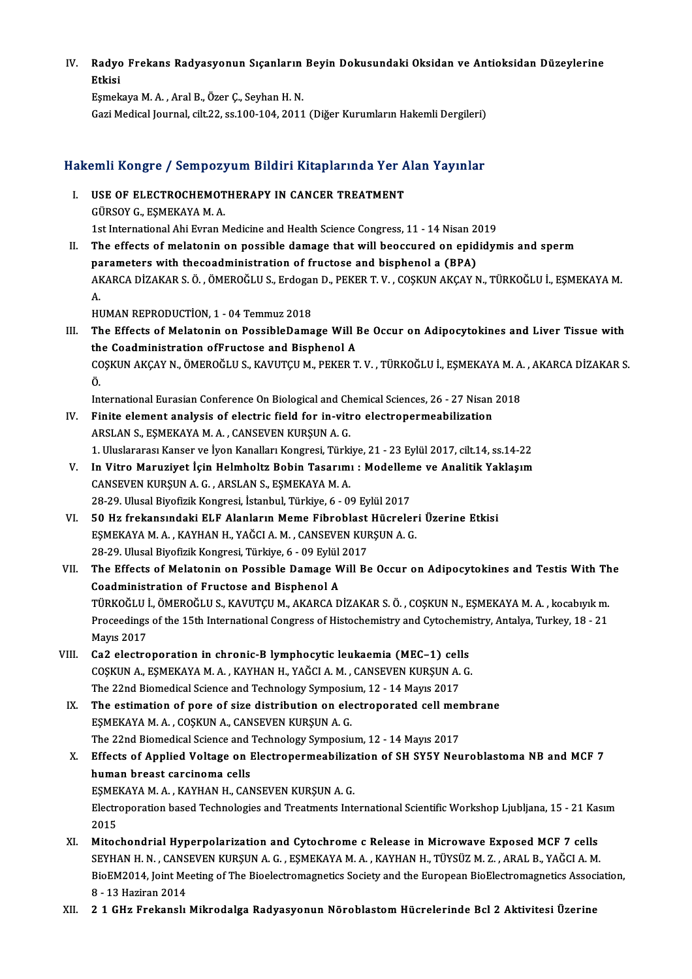IV. Radyo Frekans Radyasyonun Sıçanların Beyin Dokusundaki Oksidan ve Antioksidan Düzeylerine Radyo<br>Etkisi<br><sup>Esmak</sup> Radyo Frekans Radyasyonun Sıçanların<br>Etkisi<br>Eşmekaya M.A., Aral B., Özer Ç., Seyhan H. N.<br>Cari Madisal Jaurnal, silt 22, sa 100, 104, 2011

Etkisi<br>Eşmekaya M. A. , Aral B., Özer Ç., Seyhan H. N.<br>Gazi Medical Journal, cilt.22, ss.100-104, 2011 (Diğer Kurumların Hakemli Dergileri)

# Gazı medicai journai, citt.22, ss.100-104, 2011 (Diger Kurumiarın Hakemli Dergileri)<br>Hakemli Kongre / Sempozyum Bildiri Kitaplarında Yer Alan Yayınlar

- akemli Kongre / Sempozyum Bildiri Kitaplarında Yer A<br>I. USE OF ELECTROCHEMOTHERAPY IN CANCER TREATMENT I. USE OF ELECTROCHEMOTHERAPY IN CANCER TREATMENT<br>GÜRSOY G., ESMEKAYA M. A. 1st International Ahi Evran Medicine and Health Science Congress, 11 - 14 Nisan 2019 GÜRSOY G., EŞMEKAYA M. A.<br>1st International Ahi Evran Medicine and Health Science Congress, 11 - 14 Nisan 2019<br>II. The effects of melatonin on possible damage that will beoccured on epididymis and sperm<br>nonomotons with the
- 1st International Ahi Evran Medicine and Health Science Congress, 11 14 Nisan 2<br>The effects of melatonin on possible damage that will beoccured on epid<br>parameters with thecoadministration of fructose and bisphenol a (BPA The effects of melatonin on possible damage that will beoccured on epididymis and sperm<br>parameters with thecoadministration of fructose and bisphenol a (BPA)<br>AKARCA DİZAKAR S.Ö.,ÖMEROĞLU S., Erdogan D., PEKER T. V. , COŞKU pa<br>Al<br>A. AKARCA DİZAKAR S. Ö. , ÖMEROĞLU S., Erdogal<br>A.<br>HUMAN REPRODUCTİON, 1 - 04 Temmuz 2018<br>The Effects of Melatanin en BossibleDama

A.<br>III. The Effects of Melatonin on PossibleDamage Will Be Occur on Adipocytokines and Liver Tissue with<br>the Coadministration of Enustors and Bisphanel A HUMAN REPRODUCTION, 1 - 04 Temmuz 2018<br>The Effects of Melatonin on PossibleDamage Will I<br>the Coadministration ofFructose and Bisphenol A<br>COSVIN AVCAV N. ÖMEROČLU S. KAVUTCU M. PEKER T The Effects of Melatonin on PossibleDamage Will Be Occur on Adipocytokines and Liver Tissue with<br>the Coadministration ofFructose and Bisphenol A<br>COŞKUN AKÇAY N., ÖMEROĞLU S., KAVUTÇU M., PEKER T. V. , TÜRKOĞLU İ., EŞMEKAYA th<br>CC<br>Ö. COȘKUN AKÇAY N., ÖMEROĞLU S., KAVUTÇU M., PEKER T. V. , TÜRKOĞLU İ., EŞMEKAYA M. A.<br>Ö.<br>International Eurasian Conference On Biological and Chemical Sciences, 26 - 27 Nisan 2018<br>Finite element analysis of electric field for

- Ö.<br>International Eurasian Conference On Biological and Chemical Sciences, 26 27 Nisan<br>IV. Finite element analysis of electric field for in-vitro electropermeabilization<br>APSI AN S. FSMEKAVA M.A. CANSEVEN KURSUN A.C. International Eurasian Conference On Biological and Ch<br>Finite element analysis of electric field for in-vit<br>ARSLAN S., EŞMEKAYA M.A., CANSEVEN KURŞUN A.G.<br>1. Uluslararası Kanser ve İyon Kanalları Kansresi Türki IV. Finite element analysis of electric field for in-vitro electropermeabilization<br>ARSLAN S., EŞMEKAYA M. A. , CANSEVEN KURŞUN A. G.<br>1. Uluslararası Kanser ve İyon Kanalları Kongresi, Türkiye, 21 - 23 Eylül 2017, cilt.14,
- V. In Vitro Maruziyet İçin Helmholtz Bobin Tasarımı : Modelleme ve Analitik Yaklaşım CANSEVENKURŞUNA.G. ,ARSLANS.,EŞMEKAYAM.A. In Vitro Maruziyet İçin Helmholtz Bobin Tasarımı : Modellem<br>CANSEVEN KURŞUN A. G. , ARSLAN S., EŞMEKAYA M. A.<br>28-29. Ulusal Biyofizik Kongresi, İstanbul, Türkiye, 6 - 09 Eylül 2017<br>50 Hz frekenevndeki ELE Alenlerın Meme Ei
- VI. 50 Hz frekansındaki ELF Alanların Meme Fibroblast Hücreleri Üzerine Etkisi<br>ESMEKAYA M. A., KAYHAN H., YAĞCI A. M., CANSEVEN KURSUN A. G. 28-29. Ulusal Biyofizik Kongresi, İstanbul, Türkiye, 6 - 09 Eylül 2017<br>50 Hz frekansındaki ELF Alanların Meme Fibroblast Hücreler<br>EŞMEKAYA M. A. , KAYHAN H., YAĞCI A. M. , CANSEVEN KURŞUN A. G.<br>28.29. Ulusal Biyofizik Kong 50 Hz frekansındaki ELF Alanların Meme Fibroblast<br>EŞMEKAYA M. A. , KAYHAN H., YAĞCI A. M. , CANSEVEN KUF<br>28-29. Ulusal Biyofizik Kongresi, Türkiye, 6 - 09 Eylül 2017<br>The Effects of Molatanin an Possible Damage Will Be
- VII. The Effects of Melatonin on Possible Damage Will Be Occur on Adipocytokines and Testis With The<br>Coadministration of Fructose and Bisphenol A 28-29. Ulusal Biyofizik Kongresi, Türkiye, 6 - 09 Eylül<br>The Effects of Melatonin on Possible Damage W<br>Coadministration of Fructose and Bisphenol A<br>TÜRKOĞLUL ÖMEROĞLUS KAYUTCUM AKARCA D The Effects of Melatonin on Possible Damage Will Be Occur on Adipocytokines and Testis With Th<br>Coadministration of Fructose and Bisphenol A<br>TÜRKOĞLU İ., ÖMEROĞLU S., KAVUTÇU M., AKARCA DİZAKAR S. Ö. , COŞKUN N., EŞMEKAYA M Coadministration of Fructose and Bisphenol A<br>TÜRKOĞLU İ., ÖMEROĞLU S., KAVUTÇU M., AKARCA DİZAKAR S. Ö. , COŞKUN N., EŞMEKAYA M. A. , kocabıyık m.<br>Proceedings of the 15th International Congress of Histochemistry and Cytoch TÜRKOĞLU<br>Proceedings<br>Mayıs 2017<br>Co? electre Proceedings of the 15th International Congress of Histochemistry and Cytochemi<br>Mayıs 2017<br>VIII. Ca2 electroporation in chronic-B lymphocytic leukaemia (MEC–1) cells<br>COSKUN A ESMEKAYA M A KAYHAN H VAČCLA M CANSEVEN KURSUN A
- Mayıs 2017<br>Ca2 electroporation in chronic-B lymphocytic leukaemia (MEC–1) cells<br>COŞKUN A., EŞMEKAYA M. A. , KAYHAN H., YAĞCI A. M. , CANSEVEN KURŞUN A. G.<br>The 22nd Biomedical Science and Technology Symposium 12, 14 Mayıs 2 Ca2 electroporation in chronic-B lymphocytic leukaemia (MEC–1) cell<br>COȘKUN A., EȘMEKAYA M. A. , KAYHAN H., YAĞCI A. M. , CANSEVEN KURȘUN A.<br>The 22nd Biomedical Science and Technology Symposium, 12 - 14 Mayıs 2017<br>The estim COSKUN A., ESMEKAYA M. A., KAYHAN H., YAĞCI A. M., CANSEVEN KURSUN A. G.<br>The 22nd Biomedical Science and Technology Symposium, 12 - 14 Mayıs 2017<br>IX. The estimation of pore of size distribution on electroporated cell membr
- The 22nd Biomedical Science and Technology Symposium, 12 14 Mayıs 2017<br>The estimation of pore of size distribution on electroporated cell me<br>ESMEKAYA M. A., COSKUN A., CANSEVEN KURŞUN A. G. The estimation of pore of size distribution on electroporated cell mer<br>EŞMEKAYA M. A. , COŞKUN A., CANSEVEN KURŞUN A. G.<br>The 22nd Biomedical Science and Technology Symposium, 12 - 14 Mayıs 2017<br>Effects of Annlied Veltage o
- EŞMEKAYA M. A. , COŞKUN A., CANSEVEN KURŞUN A. G.<br>The 22nd Biomedical Science and Technology Symposium, 12 14 Mayıs 2017<br>X. Effects of Applied Voltage on Electropermeabilization of SH SY5Y Neuroblastoma NB and MCF 7<br>huma The 22nd Biomedical Science and Technology Symposium, 12 - 14 Mayıs 2017<br>Effects of Applied Voltage on Electropermeabilization of SH SY5Y Net<br>human breast carcinoma cells<br>ESMEKAYA M. A., KAYHAN H., CANSEVEN KURŞUN A. G. Effects of Applied Voltage on Electropermeabiliza<br>human breast carcinoma cells<br>EŞMEKAYA M. A. , KAYHAN H., CANSEVEN KURŞUN A. G.<br>Electroperation based Technologies and Treatments Inte human breast carcinoma cells<br>EŞMEKAYA M. A. , KAYHAN H., CANSEVEN KURŞUN A. G.<br>Electroporation based Technologies and Treatments International Scientific Workshop Ljubljana, 15 - 21 Kasım

EŞME<br>Electro<br>2015<br>Mitos Electroporation based Technologies and Treatments International Scientific Workshop Ljubljana, 15 - 21 Kas<br>2015<br>XI. Mitochondrial Hyperpolarization and Cytochrome c Release in Microwave Exposed MCF 7 cells<br>8 EVUAN H.N. CAN

- 2015<br>XI. Mitochondrial Hyperpolarization and Cytochrome c Release in Microwave Exposed MCF 7 cells<br>SEYHAN H. N. , CANSEVEN KURŞUN A. G. , EŞMEKAYA M. A. , KAYHAN H., TÜYSÜZ M. Z. , ARAL B., YAĞCI A. M. Mitochondrial Hyperpolarization and Cytochrome c Release in Microwave Exposed MCF 7 cells<br>SEYHAN H. N. , CANSEVEN KURŞUN A. G. , EŞMEKAYA M. A. , KAYHAN H., TÜYSÜZ M. Z. , ARAL B., YAĞCI A. M.<br>BioEM2014, Joint Meeting of T SEYHAN H. N. , CANS<br>BioEM2014, Joint Me<br>8 - 13 Haziran 2014<br>2 1 CHr Enekansk BioEM2014, Joint Meeting of The Bioelectromagnetics Society and the European BioElectromagnetics Assoc<br>8 - 13 Haziran 2014<br>XII. 2 1 GHz Frekanslı Mikrodalga Radyasyonun Nöroblastom Hücrelerinde Bcl 2 Aktivitesi Üzerine
-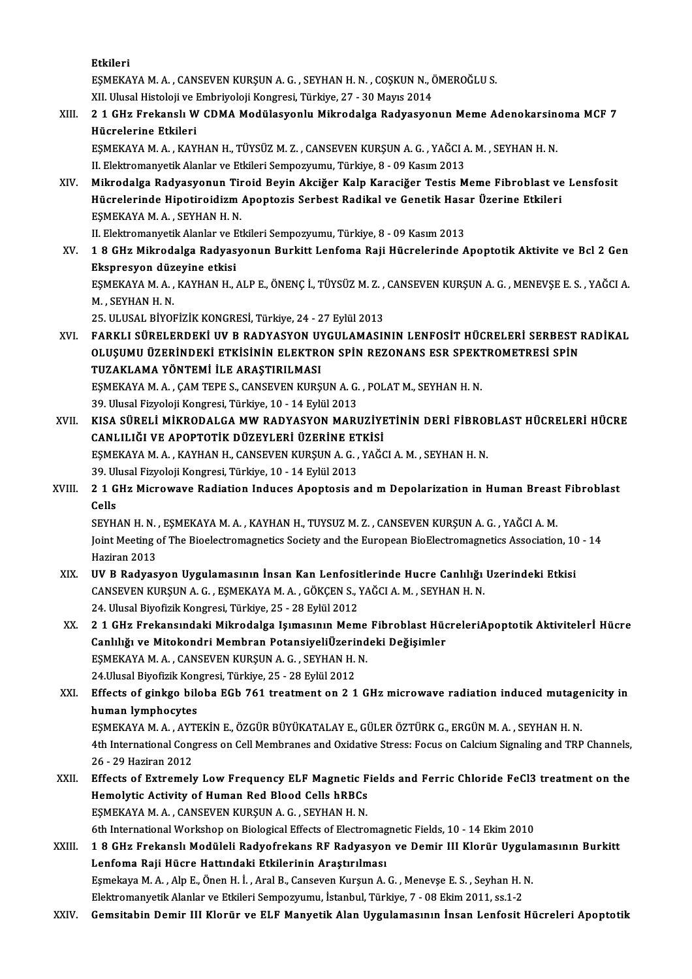Etkileri

Etkileri<br>EŞMEKAYA M. A. , CANSEVEN KURŞUN A. G. , SEYHAN H. N. , COŞKUN N., ÖMEROĞLU S.<br>YU Hlysel Histoloji ve Embriyoloji Kongresi Türkiye 27 - 20 Mayıs 2014 Etkileri<br>EŞMEKAYA M. A. , CANSEVEN KURŞUN A. G. , SEYHAN H. N. , COŞKUN N., İ<br>XII. Ulusal Histoloji ve Embriyoloji Kongresi, Türkiye, 27 - 30 Mayıs 2014<br>2.1 CHr Enekanel: W. CDMA Modülasyonlu Mikrodalas Bodyseyor

# EŞMEKAYA M. A. , CANSEVEN KURŞUN A. G. , SEYHAN H. N. , COŞKUN N., ÖMEROĞLU S.<br>XII. Ulusal Histoloji ve Embriyoloji Kongresi, Türkiye, 27 - 30 Mayıs 2014<br>XIII. 21 GHz Frekanslı W CDMA Modülasyonlu Mikrodalga Radyasyonun Me XII. Ulusal Histoloji ve l<br>2 1 GHz Frekanslı W<br>Hücrelerine Etkileri<br>ESMEKAVA M A - KAV 2 1 GHz Frekanslı W CDMA Modülasyonlu Mikrodalga Radyasyonun Meme Adenokarsin<br>Hücrelerine Etkileri<br>EŞMEKAYA M. A. , KAYHAN H., TÜYSÜZ M. Z. , CANSEVEN KURŞUN A. G. , YAĞCI A. M. , SEYHAN H. N.<br>H. Elektromanyatik Alanlar ve

Hücrelerine Etkileri<br>EŞMEKAYA M. A. , KAYHAN H., TÜYSÜZ M. Z. , CANSEVEN KURŞUN A. G. , YAĞCI A. M. , SEYHAN H. N.<br>II. Elektromanyetik Alanlar ve Etkileri Sempozyumu, Türkiye, 8 - 09 Kasım 2013 EŞMEKAYA M. A. , KAYHAN H., TÜYSÜZ M. Z. , CANSEVEN KURŞUN A. G. , YAĞCI A. M. , SEYHAN H. N.<br>II. Elektromanyetik Alanlar ve Etkileri Sempozyumu, Türkiye, 8 - 09 Kasım 2013<br>XIV. Mikrodalga Radyasyonun Tiroid Beyin Akci

II. Elektromanyetik Alanlar ve Etkileri Sempozyumu, Türkiye, 8 - 09 Kasım 2013<br>Mikrodalga Radyasyonun Tiroid Beyin Akciğer Kalp Karaciğer Testis Meme Fibroblast ve<br>Hücrelerinde Hipotiroidizm Apoptozis Serbest Radikal ve Ge Hücrelerinde Hipotiroidizm Apoptozis Serbest Radikal ve Genetik Hasar Üzerine Etkileri<br>EŞMEKAYA M. A. , SEYHAN H. N. Hücrelerinde Hipotiroidizm Apoptozis Serbest Radikal ve Genetik Hasa<br>EŞMEKAYA M. A. , SEYHAN H. N.<br>II. Elektromanyetik Alanlar ve Etkileri Sempozyumu, Türkiye, 8 - 09 Kasım 2013<br>1 8 CHz Mikrodalga Badyasyonun Burkitt Lanfa

XV. 18 GHz Mikrodalga Radyasyonun Burkitt Lenfoma Raji Hücrelerinde Apoptotik Aktivite ve Bcl 2 Gen<br>Ekspresyon düzeyine etkisi II. Elektromanyetik Alanlar ve E<br>1 8 GHz Mikrodalga Radyas<br>Ekspresyon düzeyine etkisi<br>ESMEKAVA M A - KAYHAN H 1 8 GHz Mikrodalga Radyasyonun Burkitt Lenfoma Raji Hücrelerinde Apoptotik Aktivite ve Bcl 2 Gen<br>Ekspresyon düzeyine etkisi<br>EŞMEKAYA M. A. , KAYHAN H., ALP E., ÖNENÇ İ., TÜYSÜZ M. Z. , CANSEVEN KURŞUN A. G. , MENEVŞE E. S.

Ekspresyon düz<br>EŞMEKAYA M. A. ,<br>M. , SEYHAN H. N.<br>25. ULUSAL RİVOL EŞMEKAYA M. A. , KAYHAN H., ALP E., ÖNENÇ İ., TÜYSÜZ M. Z. ,<br>M. , SEYHAN H. N.<br>25. ULUSAL BİYOFİZİK KONGRESİ, Türkiye, 24 - 27 Eylül 2013<br>EARKLI SÜRELERDEKİ UV B. BADYASYON UYGULAMASI)

M. , SEYHAN H. N.<br>25. ULUSAL BİYOFİZİK KONGRESİ, Türkiye, 24 - 27 Eylül 2013<br>27. FARKLI SÜRELERDEKİ UV B RADYASYON UYGULAMASININ LENFOSİT HÜCRELERİ SERBEST RADİKAL<br>21. YEKIMIL ÜZERİNDEKİ ETKISİNIN ELEKTRON SPİN REZONANS ES 25. ULUSAL BİYOFİZİK KONGRESİ, Türkiye, 24 - 27 Eylül 2013<br>FARKLI SÜRELERDEKİ UV B RADYASYON UYGULAMASININ LENFOSİT HÜCRELERİ SERBEST I<br>OLUŞUMU ÜZERİNDEKİ ETKİSİNİN ELEKTRON SPİN REZONANS ESR SPEKTROMETRESİ SPİN<br>TUZAKLAMA FARKLI SÜRELERDEKİ UV B RADYASYON UY<br>OLUŞUMU ÜZERİNDEKİ ETKİSİNİN ELEKTRO<br>TUZAKLAMA YÖNTEMİ İLE ARAŞTIRILMASI<br>ESMEKAYAMA CAMTEDE S CANSEVEN KURS OLUŞUMU ÜZERİNDEKİ ETKISININ ELEKTRON SPİN REZONANS ESR SPEKT<br>TUZAKLAMA YÖNTEMİ İLE ARAŞTIRILMASI<br>EŞMEKAYA M. A. , ÇAM TEPE S., CANSEVEN KURŞUN A. G. , POLAT M., SEYHAN H. N.<br>20 Havel Eirveleji Kanstesi Törkiya 10 - 14 Evl TUZAKLAMA YÖNTEMİ İLE ARAŞTIRILMASI<br>EŞMEKAYA M. A. , ÇAM TEPE S., CANSEVEN KURŞUN A. G.<br>39. Ulusal Fizyoloji Kongresi, Türkiye, 10 - 14 Eylül 2013<br>KISA SÜRELİ MİKRODALCA MW RADYASYON MARI

- EŞMEKAYA M. A. , ÇAM TEPE S., CANSEVEN KURŞUN A. G. , POLAT M., SEYHAN H. N.<br>39. Ulusal Fizyoloji Kongresi, Türkiye, 10 14 Eylül 2013<br>XVII. KISA SÜRELİ MİKRODALGA MW RADYASYON MARUZİYETİNİN DERİ FİBROBLAST HÜCRELERİ 39. Ulusal Fizyoloji Kongresi, Türkiye, 10 - 14 Eylül 2013<br>KISA SÜRELİ MİKRODALGA MW RADYASYON MARUZİYI<br>CANLILIĞI VE APOPTOTİK DÜZEYLERİ ÜZERİNE ETKİSİ<br>ESMEKAYA M.A., KAYHAN H. CANSEVEN KURSUN A.C., YAČG KISA SÜRELİ MİKRODALGA MW RADYASYON MARUZİYETİNİN DERİ FİBROI<br>CANLILIĞI VE APOPTOTİK DÜZEYLERİ ÜZERİNE ETKİSİ<br>EŞMEKAYA M. A. , KAYHAN H., CANSEVEN KURŞUN A. G. , YAĞCI A. M. , SEYHAN H. N.<br>20 Ulucal Eirvalaji Kongresi Türk CANLILIĞI VE APOPTOTİK DÜZEYLERİ ÜZERİNE ETKİSİ<br>EŞMEKAYA M. A. , KAYHAN H., CANSEVEN KURŞUN A. G. , YAĞCI A. M. , SEYHAN H. N.<br>39. Ulusal Fizyoloji Kongresi, Türkiye, 10 - 14 Eylül 2013 EŞMEKAYA M. A. , KAYHAN H., CANSEVEN KURŞUN A. G. , YAĞCI A. M. , SEYHAN H. N.<br>39. Ulusal Fizyoloji Kongresi, Türkiye, 10 - 14 Eylül 2013<br>XVIII. 21 GHz Microwave Radiation Induces Apoptosis and m Depolarization in Human Br
- 39 Ul<sup>.</sup><br>2 1 G<br>Cells<br><sup>CEVH</sup> 2 1 GHz Microwave Radiation Induces Apoptosis and m Depolarization in Human Breast<br>Cells<br>SEYHAN H. N. , EŞMEKAYA M. A. , KAYHAN H., TUYSUZ M. Z. , CANSEVEN KURŞUN A. G. , YAĞCI A. M.<br>Joint Mosting of The Bioelectromegratic

Cells<br>SEYHAN H. N. , EŞMEKAYA M. A. , KAYHAN H., TUYSUZ M. Z. , CANSEVEN KURŞUN A. G. , YAĞCI A. M.<br>Joint Meeting of The Bioelectromagnetics Society and the European BioElectromagnetics Association, 10 - 14<br>Hagiran 2012 SEYHAN H. N.<br>Joint Meeting<br>Haziran 2013<br>IIV B. Badyas Joint Meeting of The Bioelectromagnetics Society and the European BioElectromagnetics Association, 10<br>Haziran 2013<br>XIX. UV B Radyasyon Uygulamasının İnsan Kan Lenfositlerinde Hucre Canlılığı Uzerindeki Etkisi

- Haziran 2013<br>UV B Radyasyon Uygulamasının İnsan Kan Lenfositlerinde Hucre Canlılığı<br>CANSEVEN KURŞUN A. G. , EŞMEKAYA M. A. , GÖKÇEN S., YAĞCI A. M. , SEYHAN H. N.<br>24 Hlusel Biyofirik Kongresi Türkiye 25 29 Frijil 2012 UV B Radyasyon Uygulamasının İnsan Kan Lenfosii<br>CANSEVEN KURŞUN A. G. , EŞMEKAYA M. A. , GÖKÇEN S., 1<br>24. Ulusal Biyofizik Kongresi, Türkiye, 25 - 28 Eylül 2012<br>2.1 CHE Enskansındaki Mikrodales Jaunasının Mam
- 24. Ulusal Biyofizik Kongresi, Türkiye, 25 28 Eylül 2012<br>XX. 21 GHz Frekansındaki Mikrodalga Işımasının Meme Fibroblast HücreleriApoptotik Aktivitelerİ Hücre 24. Ulusal Biyofizik Kongresi, Türkiye, 25 - 28 Eylül 2012<br>2 1 GHz Frekansındaki Mikrodalga Işımasının Meme Fibroblast Hüc<br>Canlılığı ve Mitokondri Membran PotansiyeliÜzerindeki Değişimler<br>ESMEKAYAM A. GANSEVEN KURSUN A.G. 2 1 GHz Frekansındaki Mikrodalga Işımasının Meme<br>Canlılığı ve Mitokondri Membran PotansiyeliÜzerind<br>EŞMEKAYA M. A. , CANSEVEN KURŞUN A. G. , SEYHAN H. N.<br>24 Ulusal Biyefirik Konsresi Türkiye 25 - 29 Evlül 2012 Canlılığı ve Mitokondri Membran PotansiyeliÜzeri<br>EŞMEKAYA M. A. , CANSEVEN KURŞUN A. G. , SEYHAN H.<br>24.Ulusal Biyofizik Kongresi, Türkiye, 25 - 28 Eylül 2012<br>Effects of sinkse bilaba ECb 761 treatment on 2-1 EŞMEKAYA M. A. , CANSEVEN KURŞUN A. G. , SEYHAN H. N.<br>24.Ulusal Biyofizik Kongresi, Türkiye, 25 - 28 Eylül 2012<br>XXI. Effects of ginkgo biloba EGb 761 treatment on 2 1 GHz microwave radiation induced mutagenicity in<br>hum
- 24.Ulusal Biyofizik Kon<br>Effects of ginkgo bile<br>human lymphocytes<br>ESMEKAVA M A AVTI Effects of ginkgo biloba EGb 761 treatment on 2 1 GHz microwave radiation induced mutage<br>human lymphocytes<br>EŞMEKAYA M.A., AYTEKİN E., ÖZGÜR BÜYÜKATALAY E., GÜLER ÖZTÜRK G., ERGÜN M.A., SEYHAN H. N.<br>4th International Congre human lymphocytes<br>EŞMEKAYA M. A. , AYTEKİN E., ÖZGÜR BÜYÜKATALAY E., GÜLER ÖZTÜRK G., ERGÜN M. A. , SEYHAN H. N.<br>4th International Congress on Cell Membranes and Oxidative Stress: Focus on Calcium Signaling and TRP Channel
- EŞMEKAYA M. A. , AYT<br>4th International Cong<br>26 29 Haziran 2012<br>Effects of Extromal 4th International Congress on Cell Membranes and Oxidative Stress: Focus on Calcium Signaling and TRP Channels,<br>26 - 29 Haziran 2012<br>XXII. Effects of Extremely Low Frequency ELF Magnetic Fields and Ferric Chloride FeCl3 tr
- 26 29 Haziran 2012<br>Effects of Extremely Low Frequency ELF Magnetic F<br>Hemolytic Activity of Human Red Blood Cells hRBCs<br>FSMEKAVAM A. CANSEVEN KURSUN A.C. SEVHAN H.N Effects of Extremely Low Frequency ELF Magnetic F<br>Hemolytic Activity of Human Red Blood Cells hRBCs<br>EŞMEKAYA M.A., CANSEVEN KURŞUN A.G., SEYHAN H.N.<br>Eth International Werkshop op Biological Effects of Electro Hemolytic Activity of Human Red Blood Cells hRBCs<br>EŞMEKAYA M. A. , CANSEVEN KURŞUN A. G. , SEYHAN H. N.<br>6th International Workshop on Biological Effects of Electromagnetic Fields, 10 - 14 Ekim 2010 EŞMEKAYA M. A. , CANSEVEN KURŞUN A. G. , SEYHAN H. N.<br>6th International Workshop on Biological Effects of Electromagnetic Fields, 10 - 14 Ekim 2010<br>XXIII. 18 GHz Frekanslı Modüleli Radyofrekans RF Radyasyon ve Demir III Kl
- Lenfoma Raji Hücre Hattındaki Etkilerinin Araştırılması<br>Eşmekaya M. A. , Alp E., Önen H. İ. , Aral B., Canseven Kurşun A. G. , Menevşe E. S. , Seyhan H. N. 1 8 GHz Frekanslı Modüleli Radyofrekans RF Radyasyon ve Demir III Klorür Uygula<br>Lenfoma Raji Hücre Hattındaki Etkilerinin Araştırılması<br>Eşmekaya M. A. , Alp E., Önen H. İ. , Aral B., Canseven Kurşun A. G. , Menevşe E. S. , ElektromanyetikAlanlar veEtkileriSempozyumu, İstanbul,Türkiye,7 -08Ekim2011, ss.1-2
- XXIV. Gemsitabin Demir III Klorür ve ELF Manyetik Alan Uygulamasının İnsan Lenfosit Hücreleri Apoptotik